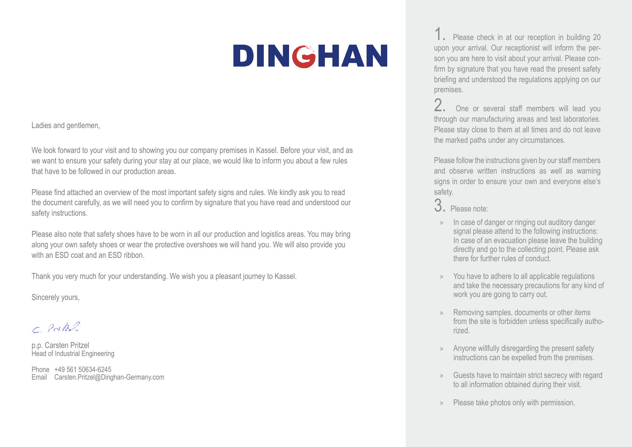## DINGHAN

Ladies and gentlemen,

We look forward to your visit and to showing you our company premises in Kassel. Before your visit, and as we want to ensure your safety during your stay at our place, we would like to inform you about a few rules that have to be followed in our production areas.

Please find attached an overview of the most important safety signs and rules. We kindly ask you to read the document carefully, as we will need you to confirm by signature that you have read and understood our safety instructions.

Please also note that safety shoes have to be worn in all our production and logistics areas. You may bring along your own safety shoes or wear the protective overshoes we will hand you. We will also provide you with an ESD coat and an ESD ribbon.

Thank you very much for your understanding. We wish you a pleasant journey to Kassel.

Sincerely yours,

C. Prites

p.p. Carsten Pritzel Head of Industrial Engineering

Phone +49 561 50634-6245 Email Carsten.Pritzel@Dinghan-Germany.com

1. Please check in at our reception in building 20 upon your arrival. Our receptionist will inform the person you are here to visit about your arrival. Please confirm by signature that you have read the present safety briefing and understood the regulations applying on our premises.

2. One or several staff members will lead you through our manufacturing areas and test laboratories. Please stay close to them at all times and do not leave the marked paths under any circumstances.

Please follow the instructions given by our staff members and observe written instructions as well as warning signs in order to ensure your own and everyone else's safety.

- In case of danger or ringing out auditory danger signal please attend to the following instructions: In case of an evacuation please leave the building directly and go to the collecting point. Please ask there for further rules of conduct.
- » You have to adhere to all applicable regulations and take the necessary precautions for any kind of work you are going to carry out.
- » Removing samples, documents or other items from the site is forbidden unless specifically authorized.
- Anyone willfully disregarding the present safety instructions can be expelled from the premises.
- » Guests have to maintain strict secrecy with regard to all information obtained during their visit.
- » Please take photos only with permission.

<sup>3.</sup> Please note: